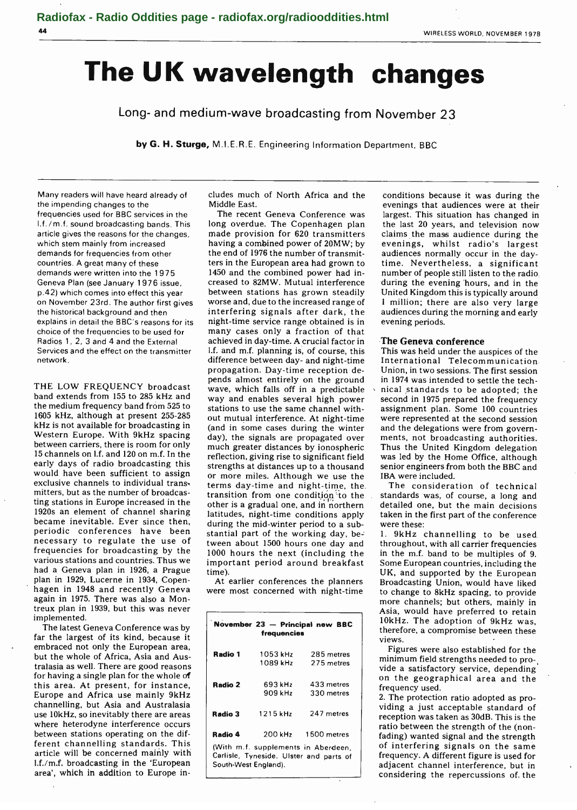# The UK wavelength changes

Long- and medium-wave broadcasting from November 23

by G. H. Sturge, M.I.E.R.E. Engineering Information Department, BBC

Many readers will have heard already of the impending changes to the frequencies used for BBC services in the I.f. /m.f. sound broadcasting bands. This article gives the reasons for the changes, which stem mainly from increased demands for frequencies from other countries. A great many of these demands were written into the 1975 Geneva Plan (see January 1976 issue, p.42) which comes into effect this year on November 23rd. The author first gives the historical background and then explains in detail the BBC's reasons for its choice of the frequencies to be used for Radios 1, 2, 3 and 4 and the External Services and the effect on the transmitter network.

THE LOW FREQUENCY broadcast band extends from 155 to 285 kHz and the medium frequency band from 525 to 1605 kHz, although at present 255 -285 kHz is not available for broadcasting in Western Europe. With 9kHz spacing between carriers, there is room for only <sup>15</sup>channels on l.f. and 120 on m.f. In the early days of radio broadcasting this would have been sufficient to assign exclusive channels to individual trans, terms day-time and night-time, the mitters, but as the number of broadcasting stations in Europe increased in the 1920s an element of channel sharing became inevitable. Ever since then, periodic conferences have been necessary to regulate the use of frequencies for broadcasting by the various stations and countries. Thus we had a Geneva plan in 1926, a Prague plan in 1929, Lucerne in 1934, Copenhagen in 1948 and recently Geneva again in 1975. There was also a Montreux plan in 1939, but this was never implemented.

The latest Geneva Conference was by far the largest of its kind, because it embraced not only the European area, but the whole of Africa, Asía and Australasia as well. There are good reasons for having a single plan for the whole of this area. At present, for instance, Europe and Africa use mainly 9kHz channelling, but Asia and Australasia use 10kHz, so inevitably there are areas where heterodyne interference occurs between stations operating on the different channelling standards. This article will be concerned mainly with 1.f./m.f. broadcasting in the 'European area', which in addition to Europe includes much of North Africa and the Middle East.

The recent Geneva Conference was long overdue. The Copenhagen plan made provision for 620 transmitters claims the mass audience during the having a combined power of 20MW; by evenings, whilst radio's largest having a combined power of 20MW; by evenings, whilst radio's largest<br>the end of 1976 the number of transmit- audiences normally occur in the daythe end of 1976 the number of transmitters in the European area had grown to time. Nevertheless, a significant 1450 and the combined power had in-<br>1450 and the combined power had in- number of people still listen to the radio. 1450 and the combined power had increased to 82MW. Mutual interference between stations has grown steadily worse and, due to the increased range of interfering signals after dark, the night-time service range obtained is in many cases only a fraction of that achieved in day -time. A crucial factor in l.f. and m.f. planning is, of course, this difference between day- and night -time propagation. Day -time reception depends almost entirely on the ground wave, which falls off in a predictable way and enables several high power stations to use the same channel without mutual interference. At night-time (and in some cases during the winter day), the signals are propagated over much greater distances by ionospheric reflection, giving rise to significant field strengths at distances up to a thousand or more miles. Although we use the transition from one condition to the other is a gradual one, and in 'northern latitudes, night-time conditions apply during the mid-winter period to a substantial part of the working day, be-<br>1. 9kHz channelling to be used tween about 1500 hours one day and 1000 hours the next (including the important period around breakfast time).

were most concerned with night-time

| Radio 1 | 1053 kHz | 285 metres          |
|---------|----------|---------------------|
|         | 1089 kHz | 275 metres          |
| Radio 2 | 693 kHz  | 433 metres          |
|         | 909 kHz  | 330 metres          |
| Radio 3 | 1215 kHz | 247 metres          |
| Radio 4 |          | 200 kHz 1500 metres |

conditions because it was during the evenings that audiences were at their largest. This situation has changed in the last 20 years, and television now claims the mass audience during the time. Nevertheless, a significant United Kingdom this is typically around <sup>1</sup>million; there are also very large audiences during the morning and early evening periods.

# The Geneva conference

This was held under the auspices of the International Telecommunication Union, in two sessions. The first session in 1974 was intended to settle the technical standards to be adopted; the second in 1975 prepared the frequency assignment plan. Some 100 countries were represented at the second session and the delegations were from governments, not broadcasting authorities. Thus the United Kingdom delegation was led by the Home Office, although senior engineers from both the BBC and IBA were included.

The consideration of technical standards was, of course, a long and detailed one, but the main decisions taken in the first part of the conference were these:

At earlier conferences the planners Broadcasting Union, would have liked throughout, with all carrier frequencies in the m.f. band to be multiples of 9. Some European countries, including the UK, and supported by the European to change to 8kHz spacing, to provide more channels; but others, mainly in Asia, would have preferred to retain 10kHz. The adoption of 9kHz was, therefore, a compromise between these views.

> Figures were also established for the minimum field strengths needed to provide a satisfactory service, depending on the geographical area and the frequency used.

> 2. The protection ratio adopted as providing a just acceptable standard of reception was taken as 30dB. This is the ratio between the strength of the (non-<br>fading) wanted signal and the strength of interfering signals on the same frequency. A different figure is used for adjacent channel interference, but in considering the repercussions of. the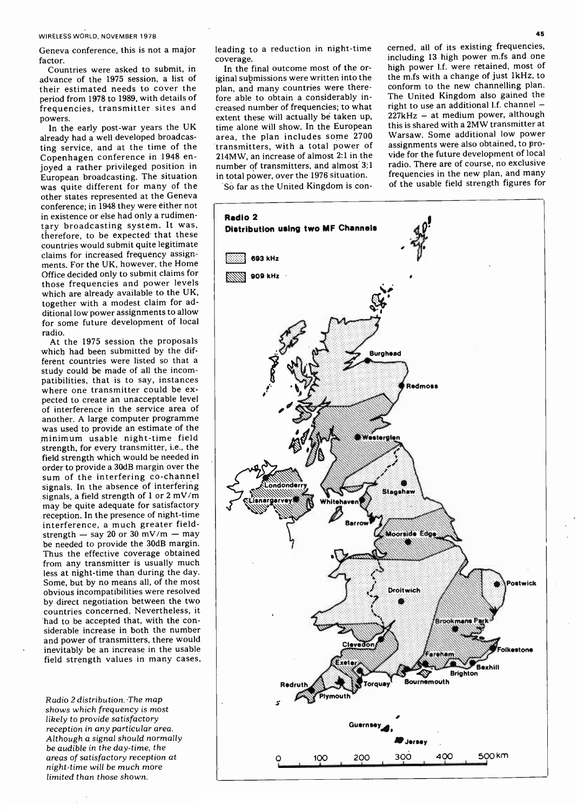WIRELESS WORLD, NOVEMBER 1978

Geneva conference, this is not a major factor.

Countries were asked to submit, in advance of the 1975 session, a list of their estimated needs to cover the period from 1978 to 1989, with details of frequencies, transmitter sites and powers.

In the early post-war years the UK already had a well developed broadcasting service, and at the time of the Copenhagen conference in 1948 enjoyed a rather privileged position in European broadcasting. The situation was quite different for many of the other states represented at the Geneva conference; in 1948 they were either not in existence or else had only a rudimentary broadcasting system. It was, therefore, to be expected that these countries would submit quite legitimate claims for increased frequency assignments. For the UK, however, the Home Office decided only to submit claims for those frequencies and power levels which are already available to the UK, together with a modest claim for additional low power assignments to allow for some future development of local radio.

At the 1975 session the proposals which had been submitted by the different countries were listed so that a study could be made of all the incompatibilities, that is to say, instances where one transmitter could be expected to create an unacceptable level of interference in the service area of another. A large computer programme was used to provide an estimate of the minimum usable night -time field strength, for every transmitter, i.e., the field strength which would be needed in order to provide a 30dB margin over the sum of the interfering co-channel signals. In the absence of interfering signals, a field strength of 1 or 2 mV /m may be quite adequate for satisfactory reception. In the presence of night -time interference, a much greater field-<br>strength  $-$  say 20 or 30 mV/m  $-$  may be needed to provide the 30dB margin. Thus the effective coverage obtained from any transmitter is usually much less at night-time than during the day. Some, but by no means all, of the most obvious incompatibilities were resolved by direct negotiation between the two countries concerned. Nevertheless, it<br>had to be accepted that, with the considerable increase in both the number and power of transmitters, there would inevitably be an increase in the usable field strength values in many cases,

Radio 2 distribution. -The map shows which frequency is most likely to provide satisfactory reception in any particular area. Although a signal should normally be audible in the day -time, the areas of satisfactory reception at night -time will be much more limited than those shown.

leading to a reduction in night-time

coverage.<br>In the final outcome most of the original submissions were written into the plan, and many countries were therefore able to obtain a considerably increased number of frequencies; to what extent these will actually bè taken up, time alone will show. In the European area, the plan includes some 2700 'transmitters, with a total power of 214MW, an increase of almost 2:1 in the number of transmitters, and almost 3:1 in total power, over the 1976 situation.

So far as the United Kingdom is con-

cerned, all of its existing frequencies, including 13 high power m.fs and one high power l.f. were retained, most of the m.fs with a change of just 1kHz, to conform to the new channelling plan. The United Kingdom also gained the right to use an additional  $1.f.$  channel  $-$ 227kHz - at medium power, although this is shared with a 2MW transmitter at Warsaw. Some additional low power assignments were also obtained, to provide for the future development of local radio. There are of course, no exclusive frequencies in the new plan, and many of the usable field strength figures for

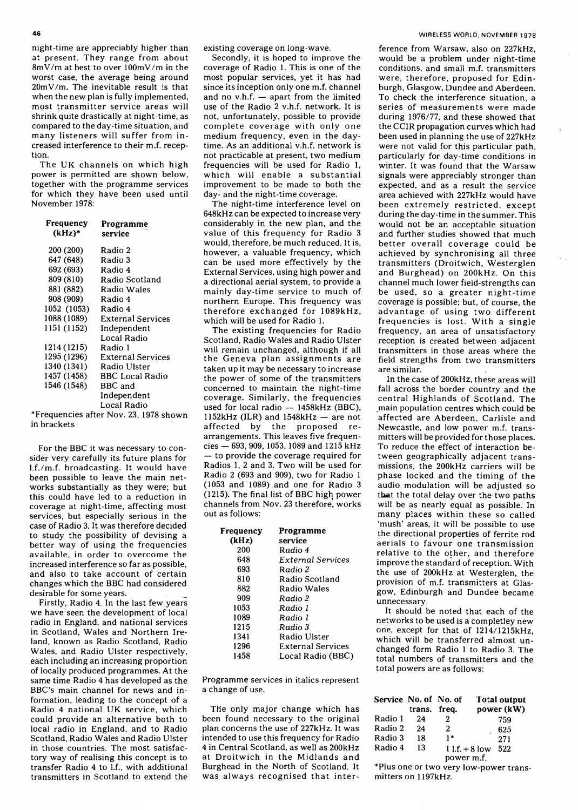night -time are appreciably higher than at present. They range from about 8mV /m at best to over 100mV /m in the worst case, the average being around  $20mV/m$ . The inevitable result is that since its inception only one m.f. channel when the new plan is fully implemented, and no v.h.f.  $-$  apart from the limited when the new plan is fully implemented, most transmitter service areas will shrink quite drastically at night -time, as compared to the day -time situation, and many listeners will suffer from increased interference to their m.f. reception.

The UK channels on which high power is permitted are shown below, together with the programme services for which they have been used until November 1978:

| Frequency<br>(kHz)* | Programme<br>service     |
|---------------------|--------------------------|
| 200 (200)           | Radio 2                  |
| 647 (648)           | Radio 3                  |
| 692 (693)           | Radio 4                  |
| 809 (810)           | Radio Scotland           |
| 881 (882)           | <b>Radio Wales</b>       |
| 908 (909)           | Radio 4                  |
| 1052 (1053) Radio 4 |                          |
| 1088 (1089)         | <b>External Services</b> |
| 1151 (1152)         | Independent              |
|                     | Local Radio              |
| 1214 (1215)         | Radio 1                  |
| 1295 (1296)         | <b>External Services</b> |
| 1340 (1341)         | Radio Ulster             |
| 1457 (1458)         | <b>BBC Local Radio</b>   |
| 1546 (1548)         | BBC and                  |
|                     | Independent              |
|                     | Local Radio              |
|                     |                          |

\*Frequencies after Nov. 23, 1978 shown in brackets

For the BBC it was necessary to consider very carefully its future plans for  $-$  to provide the coverage required for 1.f./m.f. broadcasting. It would have been possible to leave the main networks substantially as they were; but this could have led to a reduction in coverage at night-time, affecting most services, but especially serious in the case of Radio 3. It was therefore decided<br>to study the possibility of devising a better way of using the frequencies available, in order to overcome the increased interference so far as possible, and also to take account of certain changes which the BBC had considered desirable for some years.

Firstly, Radio 4. In the last few years we have seen the development of local radio in England, and national services in Scotland, Wales and Northern Ireland, known as Radio Scotland, Radio Wales, and Radio Ulster respectively, each including an increasing proportion of locally produced programmes. At the same time Radio 4 has developed as the BBC's main channel for news and information, leading to the concept of a Radio 4 national UK service, which could provide an alternative both to local radio in England, and to Radio Scotland, Radio Wales and Radio Ulster in those countries. The most satisfactory way of realising this concept is to transfer Radio 4 to I.f., with additional transmitters in Scotland to extend the existing coverage on long-wave.

Secondly, it is hoped to improve the coverage of Radio 1. This is one of the most popular services, yet it has had since its inception only one m.f. channel burgh, Glasgow, Dundee and Aberdeen.<br>and no v.h.f.  $-$  apart from the limited To check the interference situation, a use of the Radio 2 v.h.f. network. It is not, unfortunately, possible to provide complete coverage with only one medium frequency, even in the daytime. As an additional v.h.f. network is not practicable at present, two medium frequencies will be used for Radio 1, which will enable a substantial improvement to be made to both the day- and the night-time coverage.

The night-time interference level on 648kHz can be expected to increase very considerably in the new plan, and the value of this frequency for Radio <sup>3</sup> would, therefore, be much reduced. It is, however, a valuable frequency, which External Services, using high power and mainly day-time service to much of northern Europe. This frequency was which will be used for Radio 1.

The existing frequencies for Radio Scotland, Radio Wales and Radio Ulster will remain unchanged, although if all the Geneva plan assignments are taken up it may be necessary to increase the power of some of the transmitters concerned to maintain the night -time coverage. Similarly, the frequencies conseal for local radio  $-$  1458kHz (BBC), m used for local radio  $-$  1458kHz (BBC),<br>1152kHz (ILR) and 1548kHz  $-$  are not affected by the proposed rearrangements. This leaves five frequenarrangements. This leaves five frequen-<br>cies - 693, 909, 1053, 1089 and 1215 kHz T cies — 693, 909, 1053, 1089 and 1215 kHz<br>— to provide the coverage required for the state of the coverage required for Radios 1, 2 and 3. Two will be used for Radio 2 (693 and 909), two for Radio 1 (1053 and 1089) and one for Radio 3 (1215). The final list of BBC high power channels from Nov. 23 therefore, works out as follows:

| Frequency | Programme                |
|-----------|--------------------------|
| (kHz)     | service                  |
| 200       | Radio 4                  |
| 648       | External Services        |
| 693       | Radio 2                  |
| 810       | Radio Scotland           |
| 882       | Radio Wales              |
| 909       | Radio 2                  |
| 1053      | Radio 1                  |
| 1089      | Radio 1                  |
| 1215      | Radio 3                  |
| 1341      | Radio Ulster             |
| 1296      | <b>External Services</b> |
| 1458      | Local Radio (BBC)        |

Programme services in italics represent a change of use.

The only major change which has been found necessary to the original plan concerns the use of 227kHz. It was intended to use this frequency for Radio 4 in Central Scotland, as well as 200kHz at Droitwich in the Midlands and Burghead in the North of Scotland. It was always recognised that inter-

can be used more effectively by the transmitters (Droitwich, Westerglen External Services, using high power and and Burghead) on 200kHz. On this therefore exchanged for 1089kHz, advantage of using two different which will be used for Radio 1. The equencies is lost. With a single ference from Warsaw, also on 227kHz, would be a problem under night-time conditions, and small m.f. transmitters were, therefore, proposed for Edinburgh, Glasgow, Dundee and Aberdeen. series of measurements were made during 1976/77, and these showed that the CCIR propagation curves which had been used in planning the use of 227kHz were not valid for this particular path, particularly for day -time conditions in winter. It was found that the Warsaw signals were appreciably stronger than expected, and as a result the service area achieved with 227kHz would have been extremely restricted, except during the day -time in the summer. This would not be an acceptable situation and further studies showed that much better overall coverage could be achieved by synchronising all three transmitters (Droitwich, Westerglen channel much lower field -strengths can be used, so a greater night-time coverage is possible; but, of course, the advantage of using two different frequency, an area of unsatisfactory reception is created between adjacent transmitters in those areas where the field strengths from two transmitters are similar.

> In the case of 200kHz, these areas will fall across the border country and the central Highlands of Scotland. The main population centres which could be affected are Aberdeen, Carlisle and Newcastle, and low power m.f. transmitters will be provided for those places. To reduce the effect of interaction between geographically adjacent transmissions, the 200kHz carriers will be phase locked and the timing of the that the total delay over the two paths will be as nearly equal as possible. In many places within these so called 'mush' areas, it will be possible to use the directional properties of ferrite rod aerials to favour one transmission relative to the other, and therefore improve the standard of reception. With the use of 200kHz . at Westerglen, the provision of m.f. transmitters at Glasgow, Edinburgh and Dundee became unnecessary.

It should be noted that each of the networks to be used is a completley new one, except for that of 1214/1215kHz, which will be transferred almost unchanged form Radio 1 to Radio 3. The total numbers of transmitters and the total powers are as follows:

| Service No. of No. of | trans. freq. |            | <b>Total output</b><br>power (kW) |
|-----------------------|--------------|------------|-----------------------------------|
| Radio 1               | 24           | 2          | 759                               |
| Radio 2               | 24           | 2          | 625                               |
| Radio 3               | 18           | $1*$       | 271                               |
| Radio 4               | 13           | power m.f. | $11.f. + 81ow$<br>-522            |

\*Plus one or two very low -power transmitters on 1197kHz.